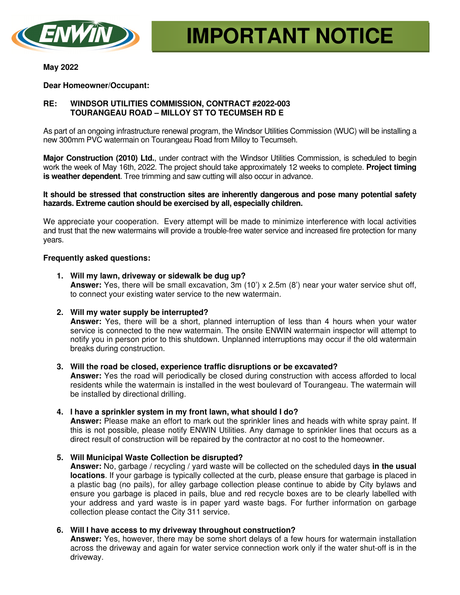

**May 2022** 

## **Dear Homeowner/Occupant:**

# **RE: WINDSOR UTILITIES COMMISSION, CONTRACT #2022-003 TOURANGEAU ROAD – MILLOY ST TO TECUMSEH RD E**

As part of an ongoing infrastructure renewal program, the Windsor Utilities Commission (WUC) will be installing a new 300mm PVC watermain on Tourangeau Road from Milloy to Tecumseh.

**Major Construction (2010) Ltd.**, under contract with the Windsor Utilities Commission, is scheduled to begin work the week of May 16th, 2022. The project should take approximately 12 weeks to complete. **Project timing is weather dependent**. Tree trimming and saw cutting will also occur in advance.

#### **It should be stressed that construction sites are inherently dangerous and pose many potential safety hazards. Extreme caution should be exercised by all, especially children.**

We appreciate your cooperation. Every attempt will be made to minimize interference with local activities and trust that the new watermains will provide a trouble-free water service and increased fire protection for many years.

## **Frequently asked questions:**

- **1. Will my lawn, driveway or sidewalk be dug up? Answer:** Yes, there will be small excavation, 3m (10') x 2.5m (8') near your water service shut off, to connect your existing water service to the new watermain.
- **2. Will my water supply be interrupted?**

**Answer:** Yes, there will be a short, planned interruption of less than 4 hours when your water service is connected to the new watermain. The onsite ENWIN watermain inspector will attempt to notify you in person prior to this shutdown. Unplanned interruptions may occur if the old watermain breaks during construction.

## **3. Will the road be closed, experience traffic disruptions or be excavated?**

**Answer:** Yes the road will periodically be closed during construction with access afforded to local residents while the watermain is installed in the west boulevard of Tourangeau. The watermain will be installed by directional drilling.

## **4. I have a sprinkler system in my front lawn, what should I do?**

**Answer:** Please make an effort to mark out the sprinkler lines and heads with white spray paint. If this is not possible, please notify ENWIN Utilities. Any damage to sprinkler lines that occurs as a direct result of construction will be repaired by the contractor at no cost to the homeowner.

## **5. Will Municipal Waste Collection be disrupted?**

**Answer:** No, garbage / recycling / yard waste will be collected on the scheduled days **in the usual locations**. If your garbage is typically collected at the curb, please ensure that garbage is placed in a plastic bag (no pails), for alley garbage collection please continue to abide by City bylaws and ensure you garbage is placed in pails, blue and red recycle boxes are to be clearly labelled with your address and yard waste is in paper yard waste bags. For further information on garbage collection please contact the City 311 service.

## **6. Will I have access to my driveway throughout construction?**

**Answer:** Yes, however, there may be some short delays of a few hours for watermain installation across the driveway and again for water service connection work only if the water shut-off is in the driveway.